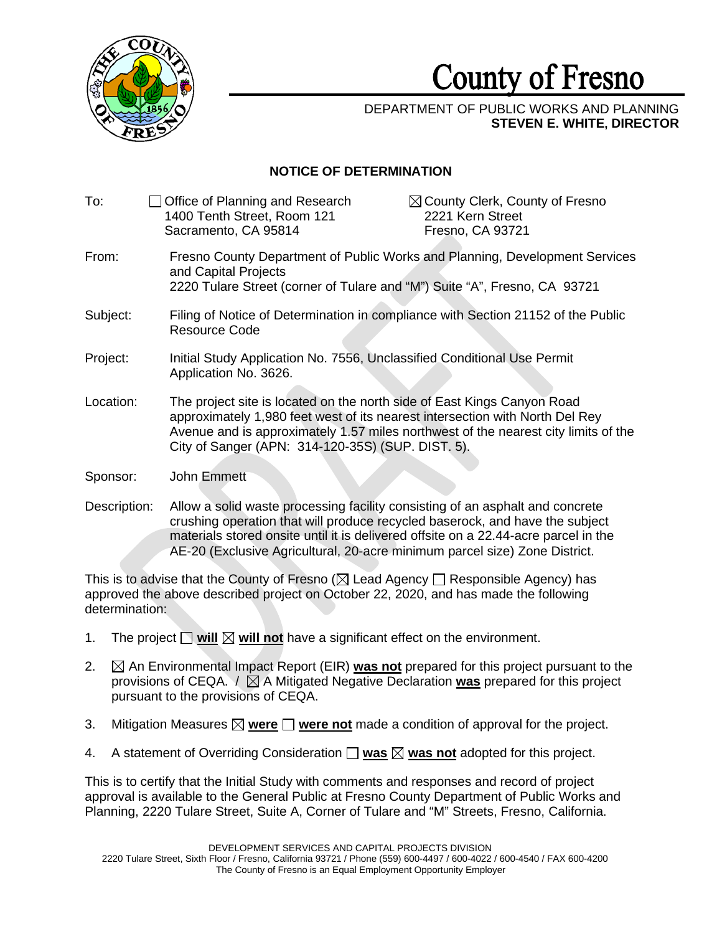

## **County** of **Fresno**

## DEPARTMENT OF PUBLIC WORKS AND PLANNING **STEVEN E. WHITE, DIRECTOR**

## **NOTICE OF DETERMINATION**

| To:          | Office of Planning and Research<br>1400 Tenth Street, Room 121<br>Sacramento, CA 95814                                                                                                                                                                                                             | $\boxtimes$ County Clerk, County of Fresno<br>2221 Kern Street<br>Fresno, CA 93721 |
|--------------|----------------------------------------------------------------------------------------------------------------------------------------------------------------------------------------------------------------------------------------------------------------------------------------------------|------------------------------------------------------------------------------------|
| From:        | Fresno County Department of Public Works and Planning, Development Services<br>and Capital Projects<br>2220 Tulare Street (corner of Tulare and "M") Suite "A", Fresno, CA 93721                                                                                                                   |                                                                                    |
| Subject:     | Filing of Notice of Determination in compliance with Section 21152 of the Public<br><b>Resource Code</b>                                                                                                                                                                                           |                                                                                    |
| Project:     | Initial Study Application No. 7556, Unclassified Conditional Use Permit<br>Application No. 3626.                                                                                                                                                                                                   |                                                                                    |
| Location:    | The project site is located on the north side of East Kings Canyon Road<br>approximately 1,980 feet west of its nearest intersection with North Del Rey<br>Avenue and is approximately 1.57 miles northwest of the nearest city limits of the<br>City of Sanger (APN: 314-120-35S) (SUP. DIST. 5). |                                                                                    |
| Sponsor:     | John Emmett                                                                                                                                                                                                                                                                                        |                                                                                    |
| Description: | Allow a solid waste processing facility consisting of an asphalt and concrete<br>crushing operation that will produce recycled baserock, and have the subject                                                                                                                                      |                                                                                    |

AE-20 (Exclusive Agricultural, 20-acre minimum parcel size) Zone District. This is to advise that the County of Fresno ( $\boxtimes$  Lead Agency  $\Box$  Responsible Agency) has approved the above described project on October 22, 2020, and has made the following approved the above described project on October 22, 2020, and has made the following

materials stored onsite until it is delivered offsite on a 22.44-acre parcel in the

determination:  $\Box$  will  $\boxtimes$  will r

- 1. The project  $\square$  will  $\boxtimes$  will not have a significant effect on the environment.
- 2.  $\boxtimes$  An Environmental Impact Report (EIR) was not prepared for this project pursuant to the provisions of CEQA.  $\ell \boxtimes A$  Mitigated Negative Declaration **was** prepared for this project pursuant to the provisions of CEQA.
- 3. Mitigation Measures ⊠ <u>were</u> □ <u>were not</u> made a condition of approval for the project. sions or CEQA.<br>⊠ <mark>were</mark> □ <mark>were</mark> i
- 4. A statement of Overriding Consideration **was was not** adopted for this project.  $\frac{R}{\Box}$  was  $\boxtimes$  was r

This is to certify that the Initial Study with comments and responses and record of project approval is available to the General Public at Fresno County Department of Public Works and Planning, 2220 Tulare Street, Suite A, Corner of Tulare and "M" Streets, Fresno, California.